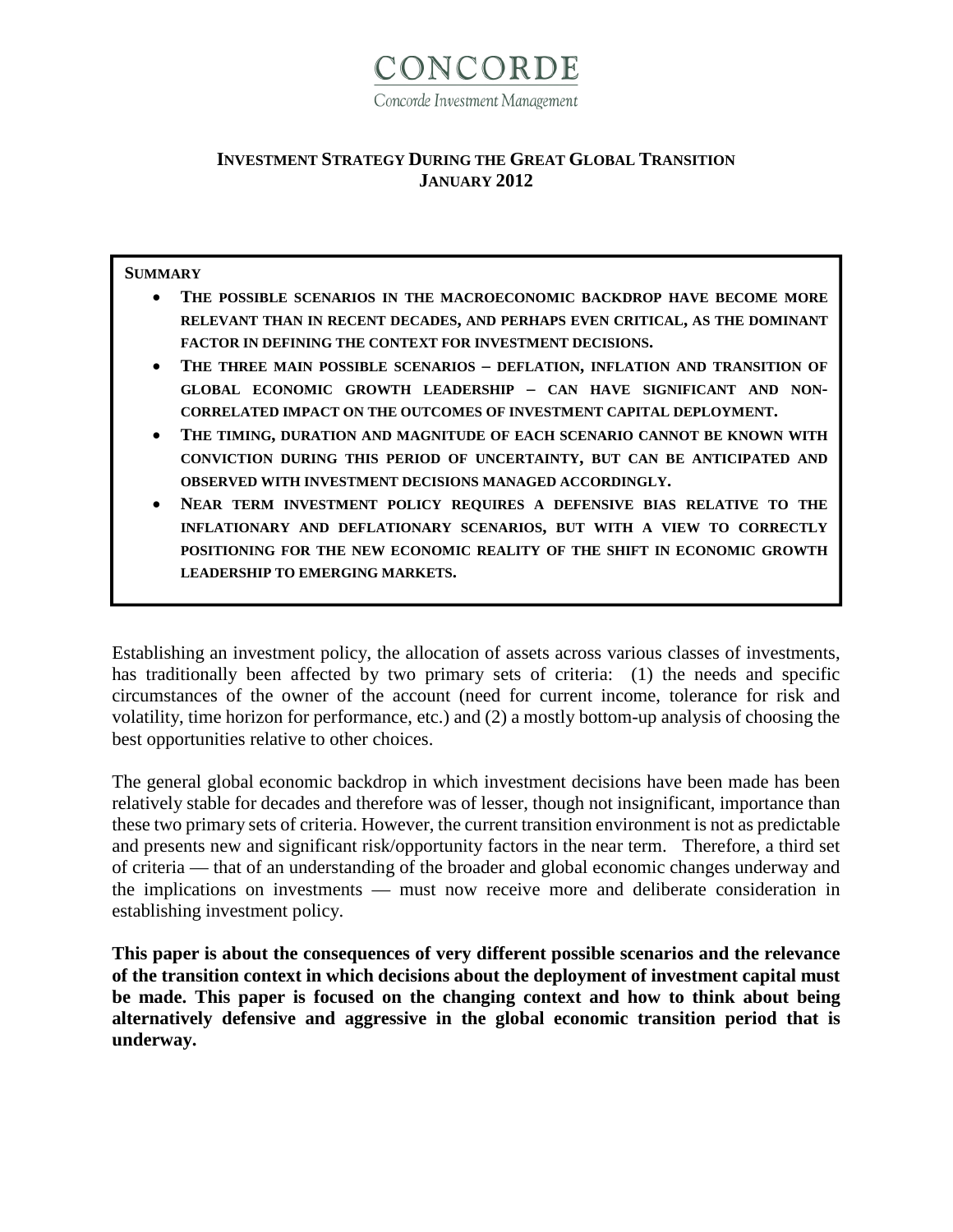

#### **INVESTMENT STRATEGY DURING THE GREAT GLOBAL TRANSITION JANUARY 2012**

#### **SUMMARY**

- **THE POSSIBLE SCENARIOS IN THE MACROECONOMIC BACKDROP HAVE BECOME MORE RELEVANT THAN IN RECENT DECADES, AND PERHAPS EVEN CRITICAL, AS THE DOMINANT FACTOR IN DEFINING THE CONTEXT FOR INVESTMENT DECISIONS.**
- **THE THREE MAIN POSSIBLE SCENARIOS – DEFLATION, INFLATION AND TRANSITION OF GLOBAL ECONOMIC GROWTH LEADERSHIP – CAN HAVE SIGNIFICANT AND NON-CORRELATED IMPACT ON THE OUTCOMES OF INVESTMENT CAPITAL DEPLOYMENT.**
- **THE TIMING, DURATION AND MAGNITUDE OF EACH SCENARIO CANNOT BE KNOWN WITH CONVICTION DURING THIS PERIOD OF UNCERTAINTY, BUT CAN BE ANTICIPATED AND OBSERVED WITH INVESTMENT DECISIONS MANAGED ACCORDINGLY.**
- **NEAR TERM INVESTMENT POLICY REQUIRES A DEFENSIVE BIAS RELATIVE TO THE INFLATIONARY AND DEFLATIONARY SCENARIOS, BUT WITH A VIEW TO CORRECTLY POSITIONING FOR THE NEW ECONOMIC REALITY OF THE SHIFT IN ECONOMIC GROWTH LEADERSHIP TO EMERGING MARKETS.**

Establishing an investment policy, the allocation of assets across various classes of investments, has traditionally been affected by two primary sets of criteria: (1) the needs and specific circumstances of the owner of the account (need for current income, tolerance for risk and volatility, time horizon for performance, etc.) and (2) a mostly bottom-up analysis of choosing the best opportunities relative to other choices.

The general global economic backdrop in which investment decisions have been made has been relatively stable for decades and therefore was of lesser, though not insignificant, importance than these two primary sets of criteria. However, the current transition environment is not as predictable and presents new and significant risk/opportunity factors in the near term. Therefore, a third set of criteria — that of an understanding of the broader and global economic changes underway and the implications on investments — must now receive more and deliberate consideration in establishing investment policy.

**This paper is about the consequences of very different possible scenarios and the relevance of the transition context in which decisions about the deployment of investment capital must be made. This paper is focused on the changing context and how to think about being alternatively defensive and aggressive in the global economic transition period that is underway.**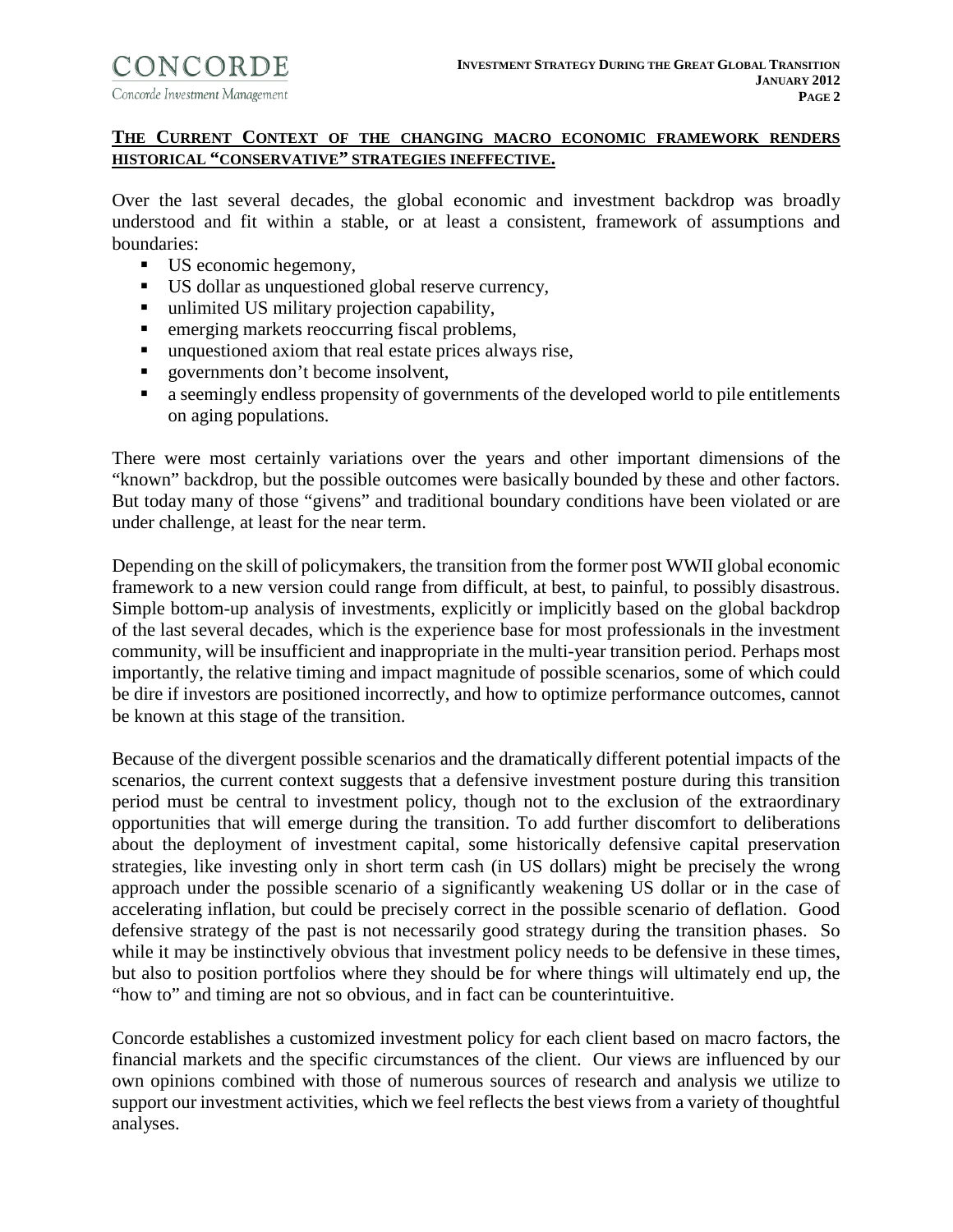# **THE CURRENT CONTEXT OF THE CHANGING MACRO ECONOMIC FRAMEWORK RENDERS HISTORICAL "CONSERVATIVE" STRATEGIES INEFFECTIVE.**

Over the last several decades, the global economic and investment backdrop was broadly understood and fit within a stable, or at least a consistent, framework of assumptions and boundaries:

- US economic hegemony,
- US dollar as unquestioned global reserve currency,
- unlimited US military projection capability,
- **EXECUTE:** emerging markets reoccurring fiscal problems,
- unquestioned axiom that real estate prices always rise,
- **governments don't become insolvent,**
- **a** seemingly endless propensity of governments of the developed world to pile entitlements on aging populations.

There were most certainly variations over the years and other important dimensions of the "known" backdrop, but the possible outcomes were basically bounded by these and other factors. But today many of those "givens" and traditional boundary conditions have been violated or are under challenge, at least for the near term.

Depending on the skill of policymakers, the transition from the former post WWII global economic framework to a new version could range from difficult, at best, to painful, to possibly disastrous. Simple bottom-up analysis of investments, explicitly or implicitly based on the global backdrop of the last several decades, which is the experience base for most professionals in the investment community, will be insufficient and inappropriate in the multi-year transition period. Perhaps most importantly, the relative timing and impact magnitude of possible scenarios, some of which could be dire if investors are positioned incorrectly, and how to optimize performance outcomes, cannot be known at this stage of the transition.

Because of the divergent possible scenarios and the dramatically different potential impacts of the scenarios, the current context suggests that a defensive investment posture during this transition period must be central to investment policy, though not to the exclusion of the extraordinary opportunities that will emerge during the transition. To add further discomfort to deliberations about the deployment of investment capital, some historically defensive capital preservation strategies, like investing only in short term cash (in US dollars) might be precisely the wrong approach under the possible scenario of a significantly weakening US dollar or in the case of accelerating inflation, but could be precisely correct in the possible scenario of deflation. Good defensive strategy of the past is not necessarily good strategy during the transition phases. So while it may be instinctively obvious that investment policy needs to be defensive in these times, but also to position portfolios where they should be for where things will ultimately end up, the "how to" and timing are not so obvious, and in fact can be counterintuitive.

Concorde establishes a customized investment policy for each client based on macro factors, the financial markets and the specific circumstances of the client. Our views are influenced by our own opinions combined with those of numerous sources of research and analysis we utilize to support our investment activities, which we feel reflects the best views from a variety of thoughtful analyses.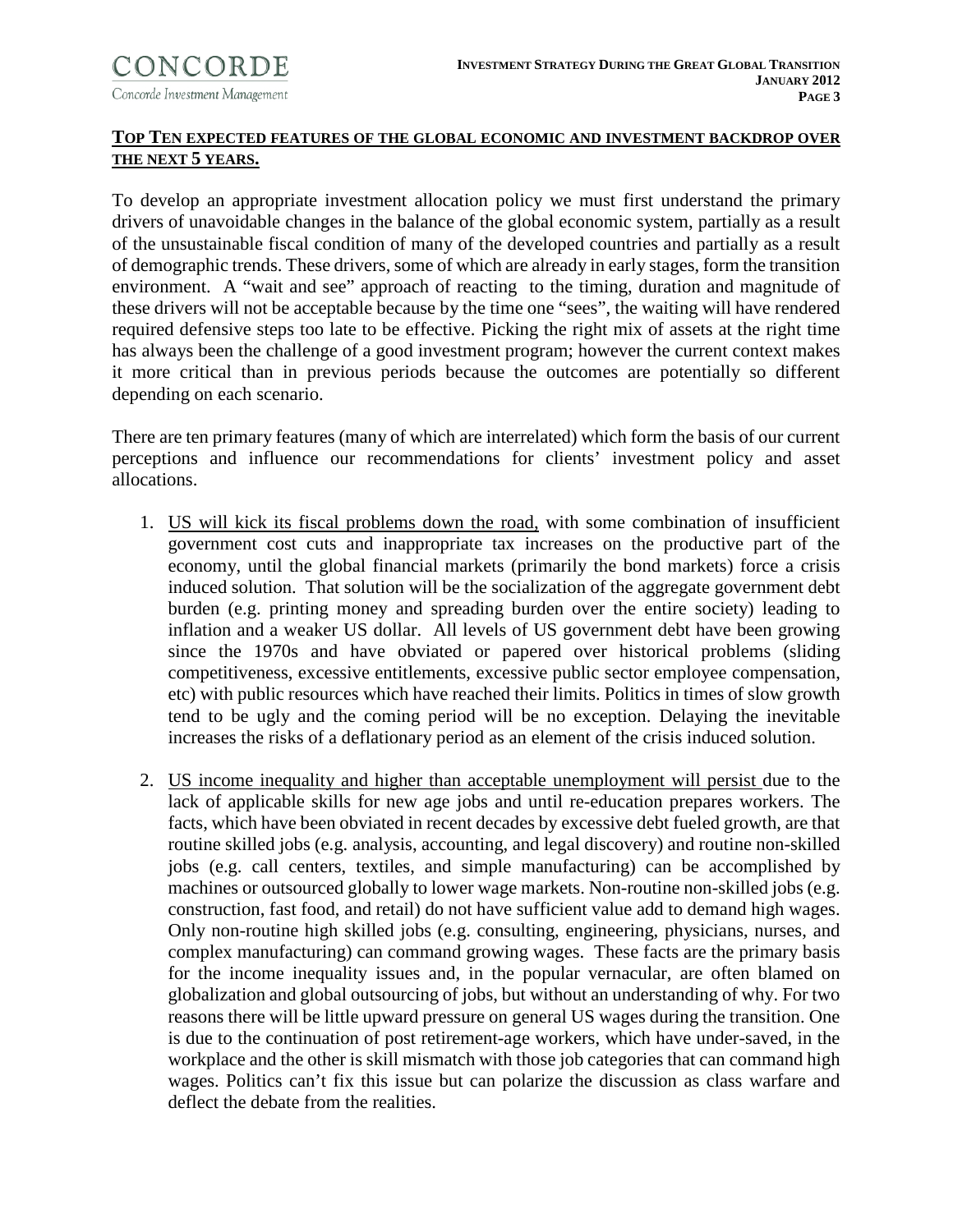

### **TOP TEN EXPECTED FEATURES OF THE GLOBAL ECONOMIC AND INVESTMENT BACKDROP OVER THE NEXT 5 YEARS.**

To develop an appropriate investment allocation policy we must first understand the primary drivers of unavoidable changes in the balance of the global economic system, partially as a result of the unsustainable fiscal condition of many of the developed countries and partially as a result of demographic trends. These drivers, some of which are already in early stages, form the transition environment. A "wait and see" approach of reacting to the timing, duration and magnitude of these drivers will not be acceptable because by the time one "sees", the waiting will have rendered required defensive steps too late to be effective. Picking the right mix of assets at the right time has always been the challenge of a good investment program; however the current context makes it more critical than in previous periods because the outcomes are potentially so different depending on each scenario.

There are ten primary features (many of which are interrelated) which form the basis of our current perceptions and influence our recommendations for clients' investment policy and asset allocations.

- 1. US will kick its fiscal problems down the road, with some combination of insufficient government cost cuts and inappropriate tax increases on the productive part of the economy, until the global financial markets (primarily the bond markets) force a crisis induced solution. That solution will be the socialization of the aggregate government debt burden (e.g. printing money and spreading burden over the entire society) leading to inflation and a weaker US dollar. All levels of US government debt have been growing since the 1970s and have obviated or papered over historical problems (sliding competitiveness, excessive entitlements, excessive public sector employee compensation, etc) with public resources which have reached their limits. Politics in times of slow growth tend to be ugly and the coming period will be no exception. Delaying the inevitable increases the risks of a deflationary period as an element of the crisis induced solution.
- 2. US income inequality and higher than acceptable unemployment will persist due to the lack of applicable skills for new age jobs and until re-education prepares workers. The facts, which have been obviated in recent decades by excessive debt fueled growth, are that routine skilled jobs (e.g. analysis, accounting, and legal discovery) and routine non-skilled jobs (e.g. call centers, textiles, and simple manufacturing) can be accomplished by machines or outsourced globally to lower wage markets. Non-routine non-skilled jobs (e.g. construction, fast food, and retail) do not have sufficient value add to demand high wages. Only non-routine high skilled jobs (e.g. consulting, engineering, physicians, nurses, and complex manufacturing) can command growing wages. These facts are the primary basis for the income inequality issues and, in the popular vernacular, are often blamed on globalization and global outsourcing of jobs, but without an understanding of why. For two reasons there will be little upward pressure on general US wages during the transition. One is due to the continuation of post retirement-age workers, which have under-saved, in the workplace and the other is skill mismatch with those job categories that can command high wages. Politics can't fix this issue but can polarize the discussion as class warfare and deflect the debate from the realities.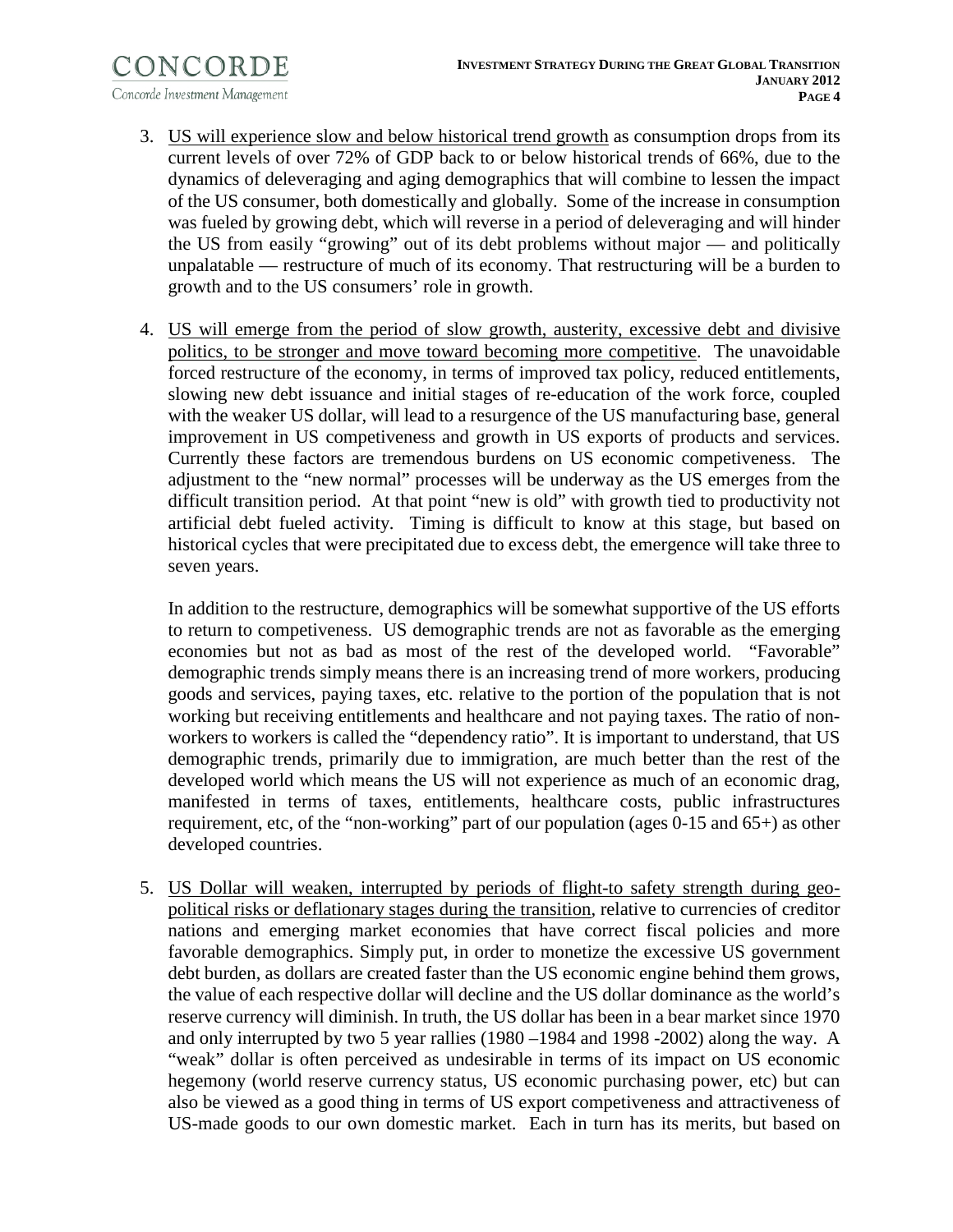- 3. US will experience slow and below historical trend growth as consumption drops from its current levels of over 72% of GDP back to or below historical trends of 66%, due to the dynamics of deleveraging and aging demographics that will combine to lessen the impact of the US consumer, both domestically and globally. Some of the increase in consumption was fueled by growing debt, which will reverse in a period of deleveraging and will hinder the US from easily "growing" out of its debt problems without major — and politically unpalatable — restructure of much of its economy. That restructuring will be a burden to growth and to the US consumers' role in growth.
- 4. US will emerge from the period of slow growth, austerity, excessive debt and divisive politics, to be stronger and move toward becoming more competitive. The unavoidable forced restructure of the economy, in terms of improved tax policy, reduced entitlements, slowing new debt issuance and initial stages of re-education of the work force, coupled with the weaker US dollar, will lead to a resurgence of the US manufacturing base, general improvement in US competiveness and growth in US exports of products and services. Currently these factors are tremendous burdens on US economic competiveness. The adjustment to the "new normal" processes will be underway as the US emerges from the difficult transition period. At that point "new is old" with growth tied to productivity not artificial debt fueled activity. Timing is difficult to know at this stage, but based on historical cycles that were precipitated due to excess debt, the emergence will take three to seven years.

In addition to the restructure, demographics will be somewhat supportive of the US efforts to return to competiveness. US demographic trends are not as favorable as the emerging economies but not as bad as most of the rest of the developed world. "Favorable" demographic trends simply means there is an increasing trend of more workers, producing goods and services, paying taxes, etc. relative to the portion of the population that is not working but receiving entitlements and healthcare and not paying taxes. The ratio of nonworkers to workers is called the "dependency ratio". It is important to understand, that US demographic trends, primarily due to immigration, are much better than the rest of the developed world which means the US will not experience as much of an economic drag, manifested in terms of taxes, entitlements, healthcare costs, public infrastructures requirement, etc, of the "non-working" part of our population (ages 0-15 and 65+) as other developed countries.

5. US Dollar will weaken, interrupted by periods of flight-to safety strength during geopolitical risks or deflationary stages during the transition, relative to currencies of creditor nations and emerging market economies that have correct fiscal policies and more favorable demographics. Simply put, in order to monetize the excessive US government debt burden, as dollars are created faster than the US economic engine behind them grows, the value of each respective dollar will decline and the US dollar dominance as the world's reserve currency will diminish. In truth, the US dollar has been in a bear market since 1970 and only interrupted by two 5 year rallies (1980 –1984 and 1998 -2002) along the way. A "weak" dollar is often perceived as undesirable in terms of its impact on US economic hegemony (world reserve currency status, US economic purchasing power, etc) but can also be viewed as a good thing in terms of US export competiveness and attractiveness of US-made goods to our own domestic market. Each in turn has its merits, but based on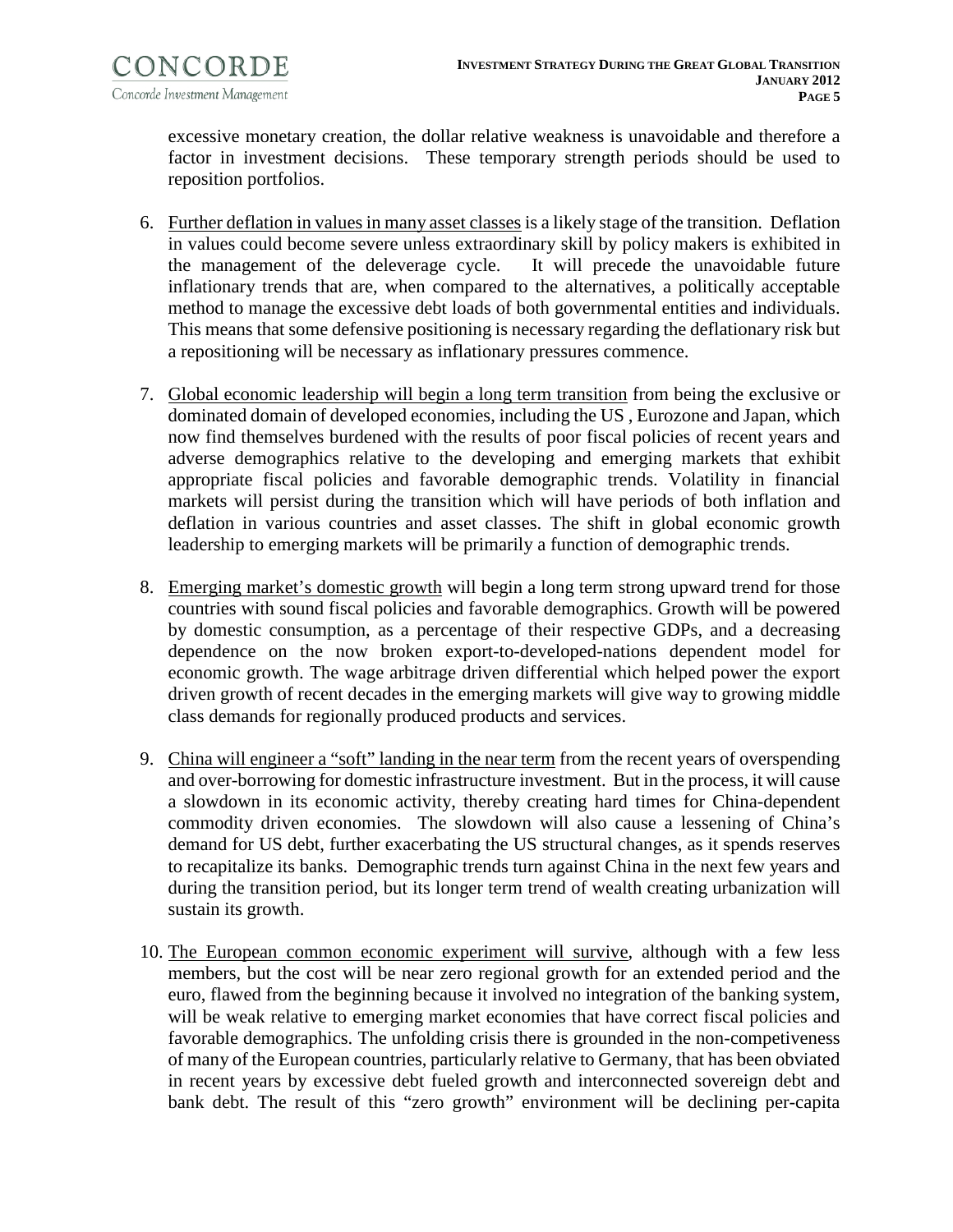excessive monetary creation, the dollar relative weakness is unavoidable and therefore a factor in investment decisions. These temporary strength periods should be used to reposition portfolios.

- 6. Further deflation in values in many asset classes is a likely stage of the transition. Deflation in values could become severe unless extraordinary skill by policy makers is exhibited in the management of the deleverage cycle. It will precede the unavoidable future inflationary trends that are, when compared to the alternatives, a politically acceptable method to manage the excessive debt loads of both governmental entities and individuals. This means that some defensive positioning is necessary regarding the deflationary risk but a repositioning will be necessary as inflationary pressures commence.
- 7. Global economic leadership will begin a long term transition from being the exclusive or dominated domain of developed economies, including the US , Eurozone and Japan, which now find themselves burdened with the results of poor fiscal policies of recent years and adverse demographics relative to the developing and emerging markets that exhibit appropriate fiscal policies and favorable demographic trends. Volatility in financial markets will persist during the transition which will have periods of both inflation and deflation in various countries and asset classes. The shift in global economic growth leadership to emerging markets will be primarily a function of demographic trends.
- 8. Emerging market's domestic growth will begin a long term strong upward trend for those countries with sound fiscal policies and favorable demographics. Growth will be powered by domestic consumption, as a percentage of their respective GDPs, and a decreasing dependence on the now broken export-to-developed-nations dependent model for economic growth. The wage arbitrage driven differential which helped power the export driven growth of recent decades in the emerging markets will give way to growing middle class demands for regionally produced products and services.
- 9. China will engineer a "soft" landing in the near term from the recent years of overspending and over-borrowing for domestic infrastructure investment. But in the process, it will cause a slowdown in its economic activity, thereby creating hard times for China-dependent commodity driven economies. The slowdown will also cause a lessening of China's demand for US debt, further exacerbating the US structural changes, as it spends reserves to recapitalize its banks. Demographic trends turn against China in the next few years and during the transition period, but its longer term trend of wealth creating urbanization will sustain its growth.
- 10. The European common economic experiment will survive, although with a few less members, but the cost will be near zero regional growth for an extended period and the euro, flawed from the beginning because it involved no integration of the banking system, will be weak relative to emerging market economies that have correct fiscal policies and favorable demographics. The unfolding crisis there is grounded in the non-competiveness of many of the European countries, particularly relative to Germany, that has been obviated in recent years by excessive debt fueled growth and interconnected sovereign debt and bank debt. The result of this "zero growth" environment will be declining per-capita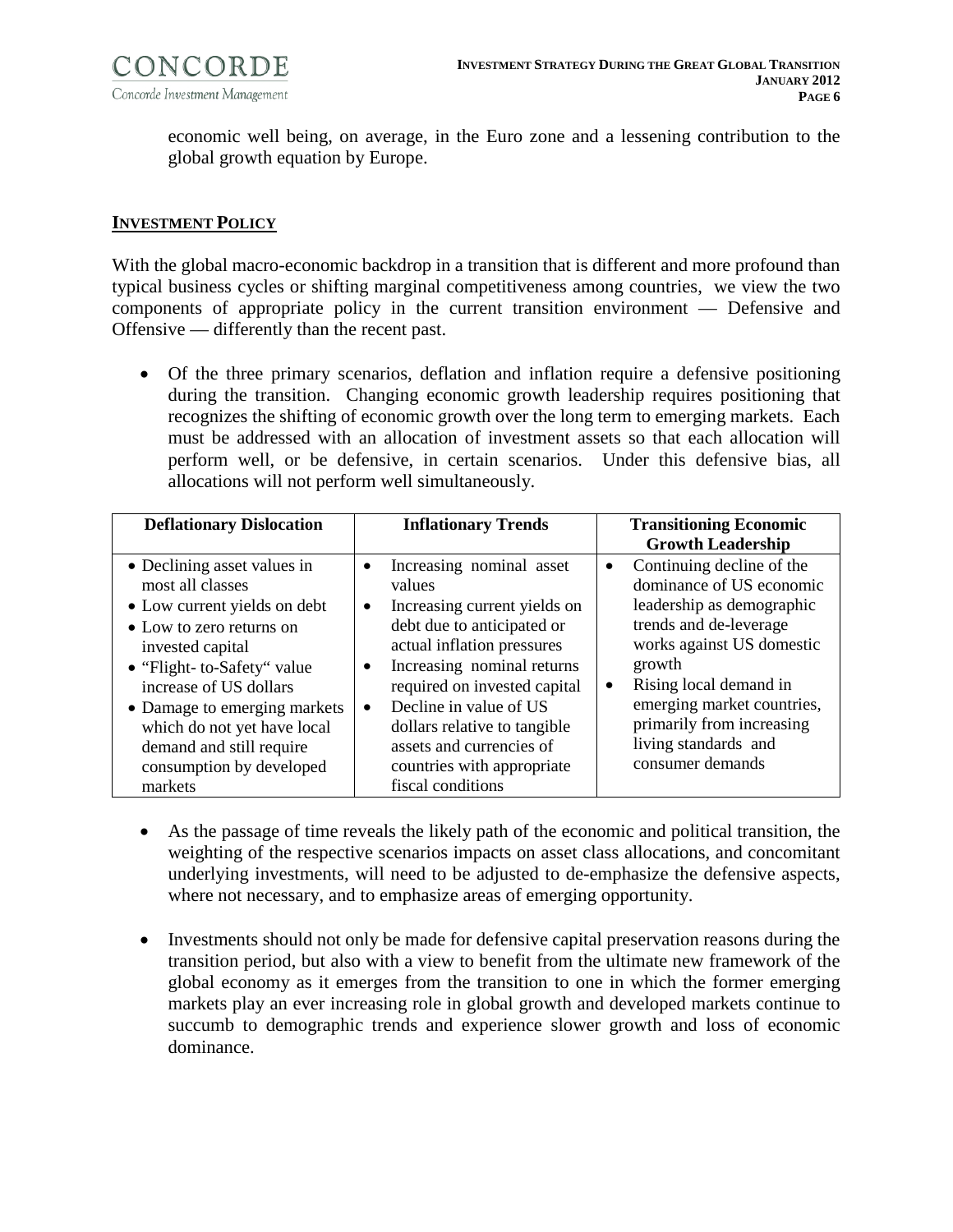

economic well being, on average, in the Euro zone and a lessening contribution to the global growth equation by Europe.

#### **INVESTMENT POLICY**

With the global macro-economic backdrop in a transition that is different and more profound than typical business cycles or shifting marginal competitiveness among countries, we view the two components of appropriate policy in the current transition environment — Defensive and Offensive — differently than the recent past.

• Of the three primary scenarios, deflation and inflation require a defensive positioning during the transition. Changing economic growth leadership requires positioning that recognizes the shifting of economic growth over the long term to emerging markets. Each must be addressed with an allocation of investment assets so that each allocation will perform well, or be defensive, in certain scenarios. Under this defensive bias, all allocations will not perform well simultaneously.

| <b>Deflationary Dislocation</b>                                                                                                                                                                                                                                                                                            | <b>Inflationary Trends</b>                                                                                                                                                                                                                                                                                                                                                        | <b>Transitioning Economic</b><br><b>Growth Leadership</b>                                                                                                                                                                                                                                                      |
|----------------------------------------------------------------------------------------------------------------------------------------------------------------------------------------------------------------------------------------------------------------------------------------------------------------------------|-----------------------------------------------------------------------------------------------------------------------------------------------------------------------------------------------------------------------------------------------------------------------------------------------------------------------------------------------------------------------------------|----------------------------------------------------------------------------------------------------------------------------------------------------------------------------------------------------------------------------------------------------------------------------------------------------------------|
| • Declining asset values in<br>most all classes<br>• Low current yields on debt<br>• Low to zero returns on<br>invested capital<br>• "Flight- to-Safety" value<br>increase of US dollars<br>• Damage to emerging markets<br>which do not yet have local<br>demand and still require<br>consumption by developed<br>markets | Increasing nominal asset<br>٠<br>values<br>Increasing current yields on<br>$\bullet$<br>debt due to anticipated or<br>actual inflation pressures<br>Increasing nominal returns<br>$\bullet$<br>required on invested capital<br>Decline in value of US<br>$\bullet$<br>dollars relative to tangible<br>assets and currencies of<br>countries with appropriate<br>fiscal conditions | Continuing decline of the<br>$\bullet$<br>dominance of US economic<br>leadership as demographic<br>trends and de-leverage<br>works against US domestic<br>growth<br>Rising local demand in<br>$\bullet$<br>emerging market countries,<br>primarily from increasing<br>living standards and<br>consumer demands |

- As the passage of time reveals the likely path of the economic and political transition, the weighting of the respective scenarios impacts on asset class allocations, and concomitant underlying investments, will need to be adjusted to de-emphasize the defensive aspects, where not necessary, and to emphasize areas of emerging opportunity.
- Investments should not only be made for defensive capital preservation reasons during the transition period, but also with a view to benefit from the ultimate new framework of the global economy as it emerges from the transition to one in which the former emerging markets play an ever increasing role in global growth and developed markets continue to succumb to demographic trends and experience slower growth and loss of economic dominance.